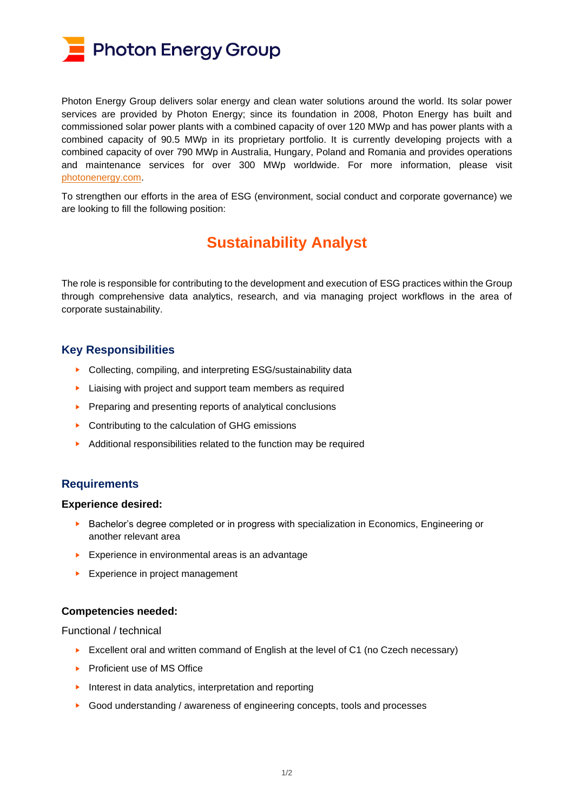

Photon Energy Group delivers solar energy and clean water solutions around the world. Its solar power services are provided by Photon Energy; since its foundation in 2008, Photon Energy has built and commissioned solar power plants with a combined capacity of over 120 MWp and has power plants with a combined capacity of 90.5 MWp in its proprietary portfolio. It is currently developing projects with a combined capacity of over 790 MWp in Australia, Hungary, Poland and Romania and provides operations and maintenance services for over 300 MWp worldwide. For more information, please visit [photonenergy.com.](file://///pens/data/8400_Marketing_and_PR/8440%20Website/2020%20PE%20Group%20website/Careers/www.photonenergy.com)

To strengthen our efforts in the area of ESG (environment, social conduct and corporate governance) we are looking to fill the following position:

# **Sustainability Analyst**

The role is responsible for contributing to the development and execution of ESG practices within the Group through comprehensive data analytics, research, and via managing project workflows in the area of corporate sustainability.

# **Key Responsibilities**

- ► Collecting, compiling, and interpreting ESG/sustainability data
- ► Liaising with project and support team members as required
- ► Preparing and presenting reports of analytical conclusions
- ► Contributing to the calculation of GHG emissions
- ► Additional responsibilities related to the function may be required

# **Requirements**

#### **Experience desired:**

- ► Bachelor's degree completed or in progress with specialization in Economics, Engineering or another relevant area
- ► Experience in environmental areas is an advantage
- ► Experience in project management

## **Competencies needed:**

Functional / technical

- ► Excellent oral and written command of English at the level of C1 (no Czech necessary)
- ► Proficient use of MS Office
- ► Interest in data analytics, interpretation and reporting
- ► Good understanding / awareness of engineering concepts, tools and processes